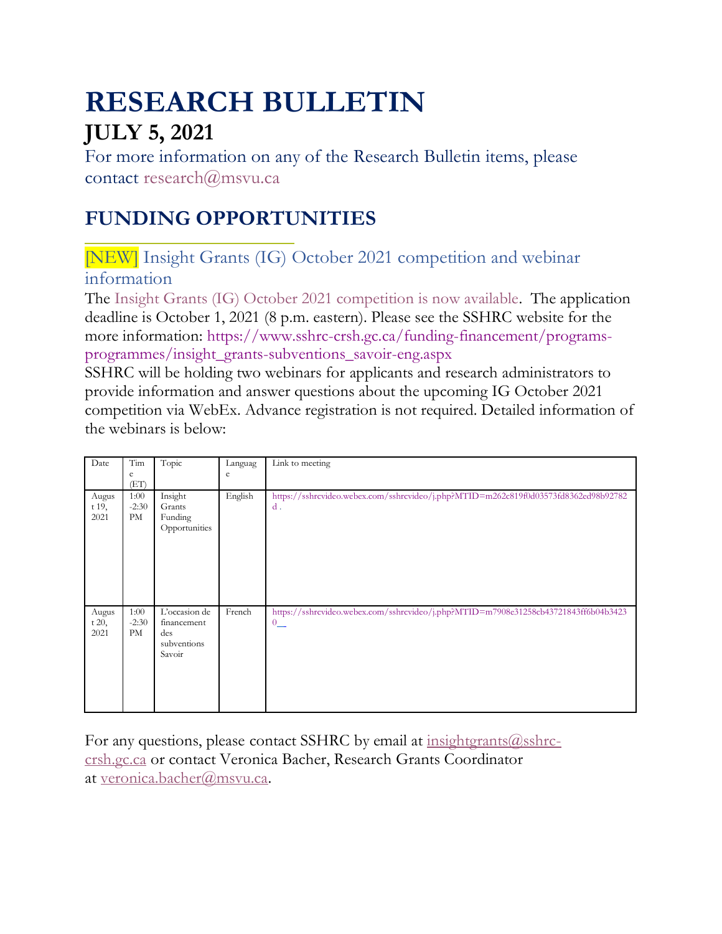# **RESEARCH BULLETIN JULY 5, 2021**

For more information on any of the Research Bulletin items, please contact [research@msvu.ca](mailto:research@msvu.ca)

# **FUNDING OPPORTUNITIES**

[NEW] Insight Grants (IG) October 2021 competition and webinar information

The [Insight Grants \(IG\) October 2021 competition is now available.](https://www.sshrc-crsh.gc.ca/funding-financement/nfrf-fnfr/transformation/2020/competition-concours-eng.aspx) The application deadline is October 1, 2021 (8 p.m. eastern). Please see the SSHRC website for the more information: [https://www.sshrc-crsh.gc.ca/funding-financement/programs](https://www.sshrc-crsh.gc.ca/funding-financement/programs-programmes/insight_grants-subventions_savoir-eng.aspx)[programmes/insight\\_grants-subventions\\_savoir-eng.aspx](https://www.sshrc-crsh.gc.ca/funding-financement/programs-programmes/insight_grants-subventions_savoir-eng.aspx)

SSHRC will be holding two webinars for applicants and research administrators to provide information and answer questions about the upcoming IG October 2021 competition via WebEx. Advance registration is not required. Detailed information of the webinars is below:

| Date    | Tim     | Topic         | Languag | Link to meeting                                                                     |
|---------|---------|---------------|---------|-------------------------------------------------------------------------------------|
|         | e       |               | e       |                                                                                     |
|         | (ET)    |               |         |                                                                                     |
| Augus   | 1:00    | Insight       | English | https://sshrcvideo.webex.com/sshrcvideo/j.php?MTID=m262c819f0d03573fd8362ed98b92782 |
| t 19,   | $-2:30$ | Grants        |         | $d$ .                                                                               |
| 2021    | PM      | Funding       |         |                                                                                     |
|         |         | Opportunities |         |                                                                                     |
|         |         |               |         |                                                                                     |
|         |         |               |         |                                                                                     |
|         |         |               |         |                                                                                     |
|         |         |               |         |                                                                                     |
|         |         |               |         |                                                                                     |
|         |         |               |         |                                                                                     |
| Augus   | 1:00    | L'occasion de | French  | https://sshrcvideo.webex.com/sshrcvideo/j.php?MTID=m7908e31258cb43721843ff6b04b3423 |
| t $20,$ | $-2:30$ | financement   |         | $0^-$                                                                               |
| 2021    | PM      | des           |         |                                                                                     |
|         |         | subventions   |         |                                                                                     |
|         |         | Savoir        |         |                                                                                     |
|         |         |               |         |                                                                                     |
|         |         |               |         |                                                                                     |
|         |         |               |         |                                                                                     |
|         |         |               |         |                                                                                     |
|         |         |               |         |                                                                                     |

For any questions, please contact SSHRC by email at insightgrants $@$ sshrc[crsh.gc.ca](mailto:insightgrants@sshrc-crsh.gc.ca) or contact Veronica Bacher, Research Grants Coordinator at [veronica.bacher@msvu.ca.](mailto:veronica.bacher@msvu.ca)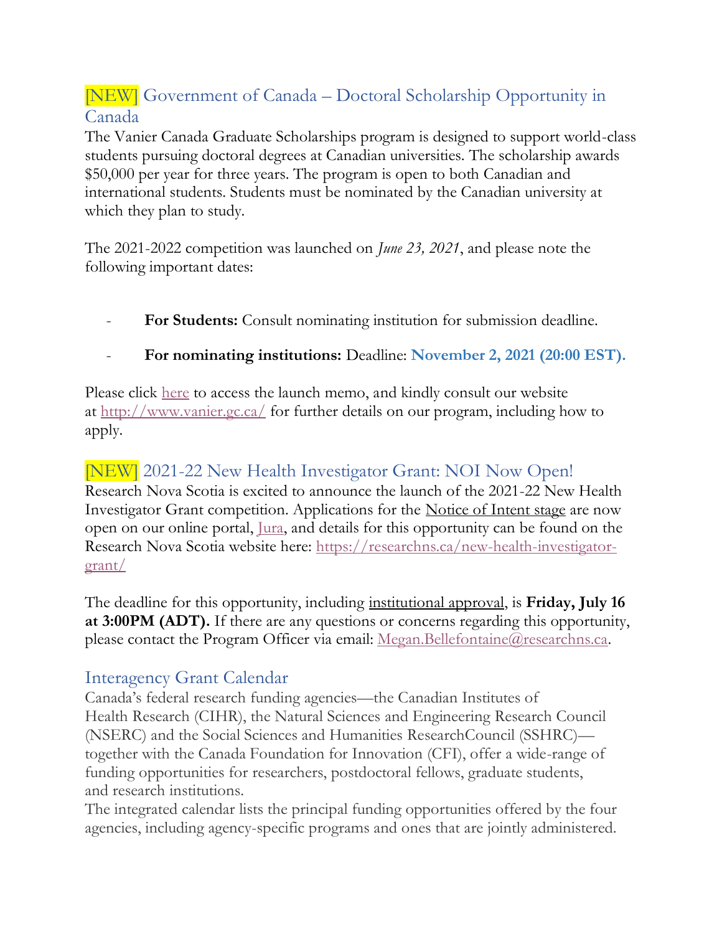# [NEW] Government of Canada – Doctoral Scholarship Opportunity in Canada

The Vanier Canada Graduate Scholarships program is designed to support world-class students pursuing doctoral degrees at Canadian universities. The scholarship awards \$50,000 per year for three years. The program is open to both Canadian and international students. Students must be nominated by the Canadian university at which they plan to study.

The 2021-2022 competition was launched on *June 23, 2021*, and please note the following important dates:

- **For Students:** Consult nominating institution for submission deadline.
- **For nominating institutions:** Deadline: **November 2, 2021 (20:00 EST).**

Please click [here](https://vanier.gc.ca/en/news-nouv_2021-22.html) to access the launch memo, and kindly consult our website at <http://www.vanier.gc.ca/> for further details on our program, including how to apply.

### [NEW] 2021-22 New Health Investigator Grant: NOI Now Open!

Research Nova Scotia is excited to announce the launch of the 2021-22 New Health Investigator Grant competition. Applications for the Notice of Intent stage are now open on our online portal, [Jura,](https://researchns.smartsimple.ca/) and details for this opportunity can be found on the Research Nova Scotia website here: [https://researchns.ca/new-health-investigator](https://researchns.ca/new-health-investigator-grant/)[grant/](https://researchns.ca/new-health-investigator-grant/)

The deadline for this opportunity, including institutional approval, is **Friday, July 16 at 3:00PM (ADT).** If there are any questions or concerns regarding this opportunity, please contact the Program Officer via email: <u>Megan.Bellefontaine@researchns.ca</u>.

#### Interagency Grant Calendar

Canada's federal research funding agencies—the Canadian Institutes of Health Research (CIHR), the Natural Sciences and Engineering Research Council (NSERC) and the Social Sciences and Humanities ResearchCouncil (SSHRC) together with the Canada Foundation for Innovation (CFI), offer a wide-range of funding opportunities for researchers, postdoctoral fellows, graduate students, and research institutions.

The integrated calendar lists the principal funding opportunities offered by the four agencies, including agency-specific programs and ones that are jointly administered.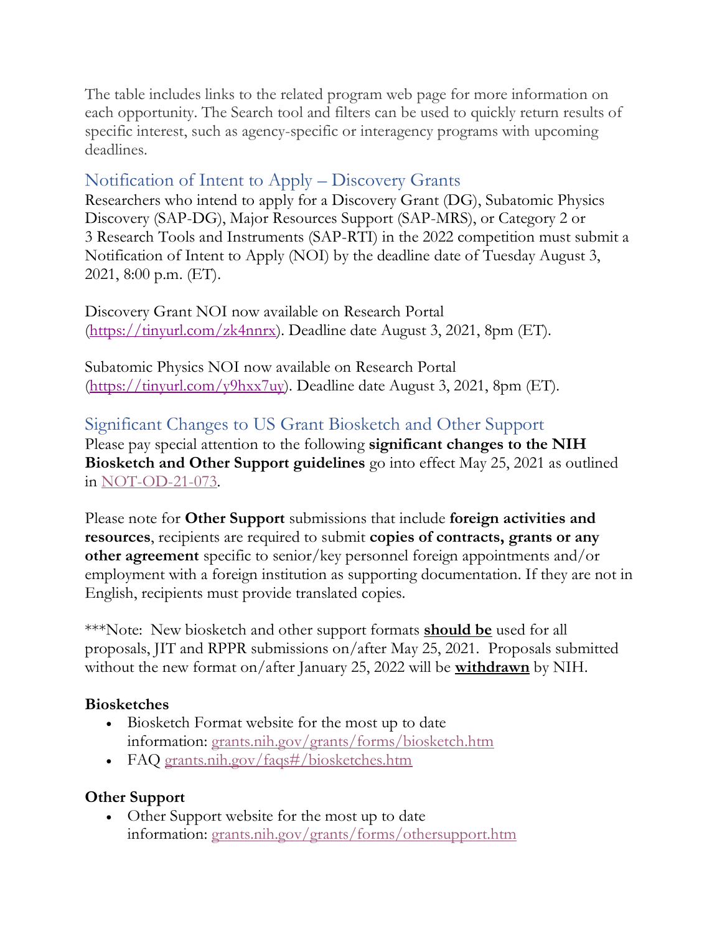The table includes links to the related program web page for more information on each opportunity. The Search tool and filters can be used to quickly return results of specific interest, such as agency-specific or interagency programs with upcoming deadlines.

### Notification of Intent to Apply – Discovery Grants

Researchers who intend to apply for a Discovery Grant (DG), Subatomic Physics Discovery (SAP-DG), Major Resources Support (SAP-MRS), or Category 2 or 3 Research Tools and Instruments (SAP-RTI) in the 2022 competition must submit a Notification of Intent to Apply (NOI) by the deadline date of Tuesday August 3, 2021, 8:00 p.m. (ET).

Discovery Grant NOI now available on Research Portal [\(https://tinyurl.com/zk4nnrx\)](https://tinyurl.com/zk4nnrx). Deadline date August 3, 2021, 8pm (ET).

Subatomic Physics NOI now available on Research Portal [\(https://tinyurl.com/y9hxx7uy\)](https://tinyurl.com/y9hxx7uy). Deadline date August 3, 2021, 8pm (ET).

#### Significant Changes to US Grant Biosketch and Other Support

Please pay special attention to the following **significant changes to the NIH Biosketch and Other Support guidelines** go into effect May 25, 2021 as outlined in [NOT-OD-21-073.](https://grants.nih.gov/grants/guide/notice-files/NOT-OD-21-073.html)

Please note for **Other Support** submissions that include **foreign activities and resources**, recipients are required to submit **copies of contracts, grants or any other agreement** specific to senior/key personnel foreign appointments and/or employment with a foreign institution as supporting documentation. If they are not in English, recipients must provide translated copies.

\*\*\*Note: New biosketch and other support formats **should be** used for all proposals, JIT and RPPR submissions on/after May 25, 2021. Proposals submitted without the new format on/after January 25, 2022 will be **withdrawn** by NIH.

#### **Biosketches**

- Biosketch Format website for the most up to date information: [grants.nih.gov/grants/forms/biosketch.htm](https://grants.nih.gov/grants/forms/biosketch.htm)
- FAQ [grants.nih.gov/faqs#/biosketches.htm](https://grants.nih.gov/faqs#/biosketches.htm)

#### **Other Support**

• Other Support website for the most up to date information: [grants.nih.gov/grants/forms/othersupport.htm](https://grants.nih.gov/grants/forms/othersupport.htm)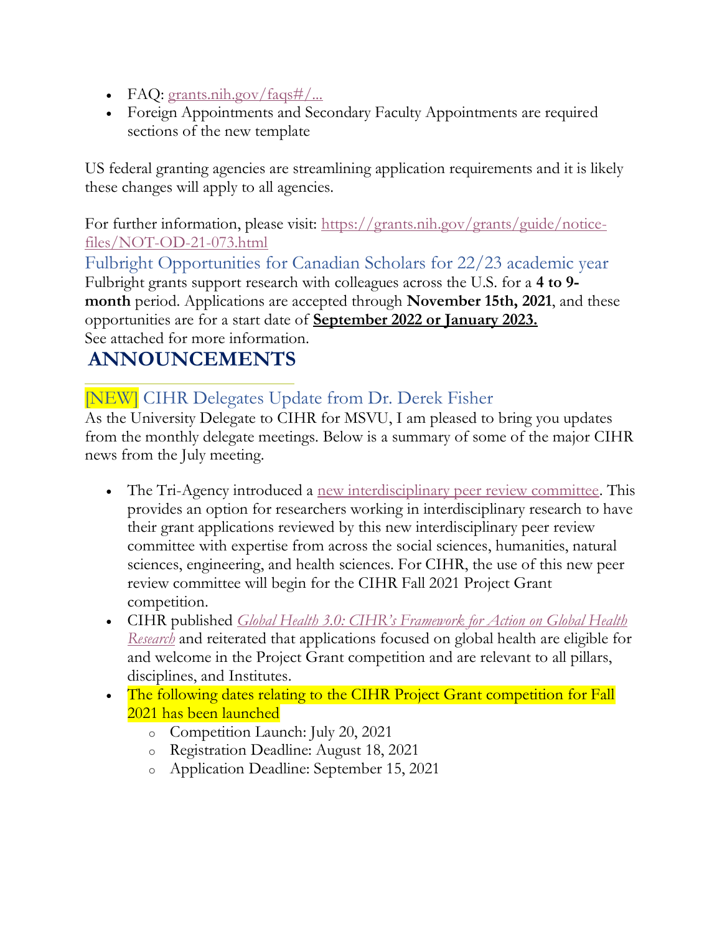- FAQ: grants.nih.gov/ $faq\sin\frac{H}{m}$ ...
- Foreign Appointments and Secondary Faculty Appointments are required sections of the new template

US federal granting agencies are streamlining application requirements and it is likely these changes will apply to all agencies.

For further information, please visit: [https://grants.nih.gov/grants/guide/notice](https://grants.nih.gov/grants/guide/notice-files/NOT-OD-21-073.html)[files/NOT-OD-21-073.html](https://grants.nih.gov/grants/guide/notice-files/NOT-OD-21-073.html)

Fulbright Opportunities for Canadian Scholars for 22/23 academic year Fulbright grants support research with colleagues across the U.S. for a **4 to 9 month** period. Applications are accepted through **November 15th, 2021**, and these opportunities are for a start date of **September 2022 or January 2023.** See attached for more information.

# **ANNOUNCEMENTS**

# [NEW] CIHR Delegates Update from Dr. Derek Fisher

As the University Delegate to CIHR for MSVU, I am pleased to bring you updates from the monthly delegate meetings. Below is a summary of some of the major CIHR news from the July meeting.

- The Tri-Agency introduced a [new interdisciplinary peer review committee.](https://cihr-irsc.gc.ca/e/52470.html) This provides an option for researchers working in interdisciplinary research to have their grant applications reviewed by this new interdisciplinary peer review committee with expertise from across the social sciences, humanities, natural sciences, engineering, and health sciences. For CIHR, the use of this new peer review committee will begin for the CIHR Fall 2021 Project Grant competition.
- CIHR published *[Global Health 3.0: CIHR's Framework for Action on Global Health](https://cihr-irsc.gc.ca/e/52503.html)  [Research](https://cihr-irsc.gc.ca/e/52503.html)* and reiterated that applications focused on global health are eligible for and welcome in the Project Grant competition and are relevant to all pillars, disciplines, and Institutes.
- The following dates relating to the CIHR Project Grant competition for Fall 2021 has been launched
	- o Competition Launch: July 20, 2021
	- o Registration Deadline: August 18, 2021
	- o Application Deadline: September 15, 2021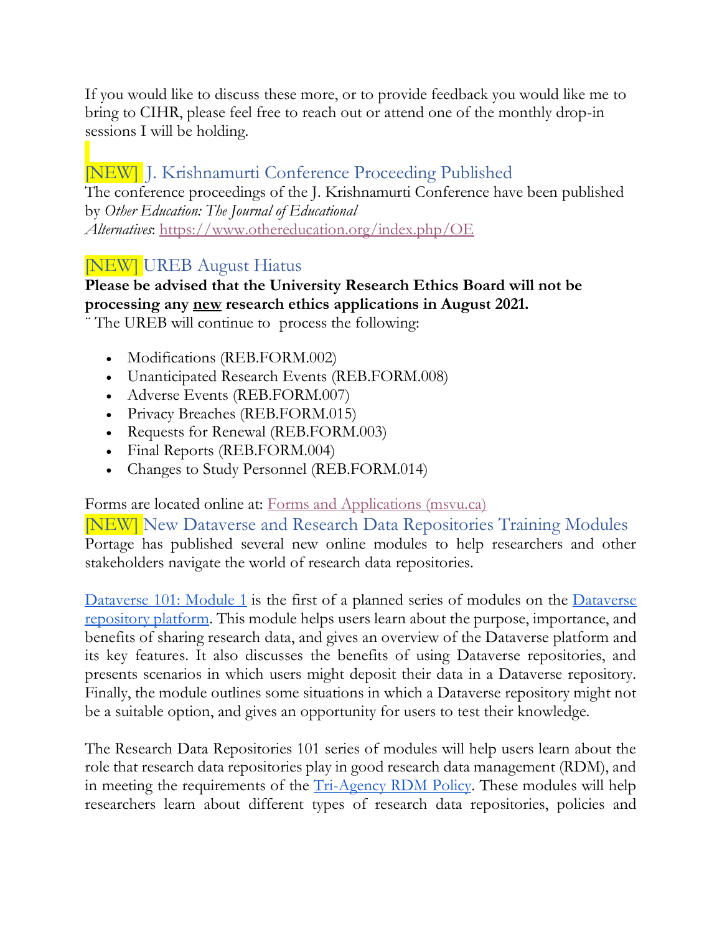If you would like to discuss these more, or to provide feedback you would like me to bring to CIHR, please feel free to reach out or attend one of the monthly drop-in sessions I will be holding.

# [NEW] J. Krishnamurti Conference Proceeding Published

The conference proceedings of the J. Krishnamurti Conference have been published by *Other Education: The Journal of Educational Alternatives*: <https://www.othereducation.org/index.php/OE>

#### [NEW] UREB August Hiatus

#### **Please be advised that the University Research Ethics Board will not be processing any new research ethics applications in August 2021.**

¨ The UREB will continue to process the following:

- Modifications (REB.FORM.002)
- Unanticipated Research Events (REB.FORM.008)
- Adverse Events (REB.FORM.007)
- Privacy Breaches (REB.FORM.015)
- Requests for Renewal (REB.FORM.003)
- Final Reports (REB.FORM.004)
- Changes to Study Personnel (REB.FORM.014)

Forms are located online at: **Forms and Applications** (msvu.ca)

[NEW] New Dataverse and Research Data Repositories Training Modules Portage has published several new online modules to help researchers and other stakeholders navigate the world of research data repositories.

[Dataverse 101: Module 1](https://learn.scholarsportal.info/modules/portage/dataverse-101-module-1/) is the first of a planned series of modules on the Dataverse [repository platform.](https://dataverse.org/) This module helps users learn about the purpose, importance, and benefits of sharing research data, and gives an overview of the Dataverse platform and its key features. It also discusses the benefits of using Dataverse repositories, and presents scenarios in which users might deposit their data in a Dataverse repository. Finally, the module outlines some situations in which a Dataverse repository might not be a suitable option, and gives an opportunity for users to test their knowledge.

The Research Data Repositories 101 series of modules will help users learn about the role that research data repositories play in good research data management (RDM), and in meeting the requirements of the **Tri-Agency RDM Policy**. These modules will help researchers learn about different types of research data repositories, policies and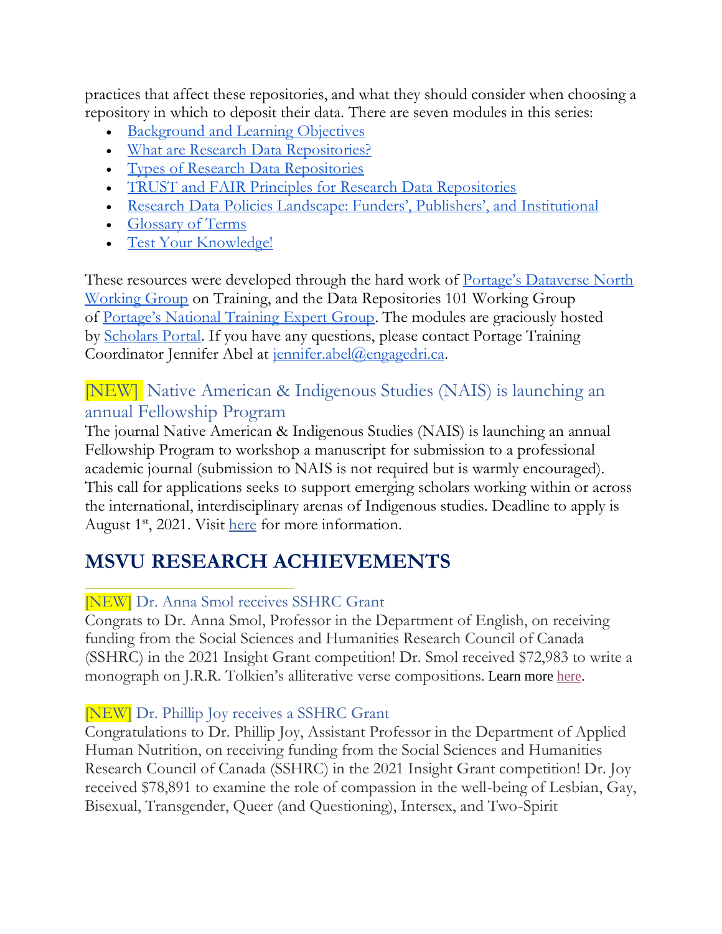practices that affect these repositories, and what they should consider when choosing a repository in which to deposit their data. There are seven modules in this series:

- [Background and Learning Objectives](https://learn.scholarsportal.info/modules/portage/research-data-repositories-101-module-1/)
- [What are Research Data Repositories?](https://learn.scholarsportal.info/modules/portage/research-data-repositories-101-module-2/)
- [Types of Research Data Repositories](https://learn.scholarsportal.info/modules/portage/research-data-repositories-101-module-3/)
- [TRUST and FAIR Principles for Research Data Repositories](https://learn.scholarsportal.info/modules/portage/research-data-repositories-101-module-4/)
- [Research Data Policies Landscape: Funders', Publishers', and Institutional](https://learn.scholarsportal.info/modules/portage/research-data-repositories-101-module-5/)
- [Glossary of Terms](https://learn.scholarsportal.info/modules/portage/research-data-repositories-101-module-6/)
- [Test Your Knowledge!](https://learn.scholarsportal.info/modules/portage/research-data-repositories-101-module-7/)

These resources were developed through the hard work of <u>[Portage's Dataverse No](https://portagenetwork.ca/network-of-experts/dataverse-north-working-group/)rth</u> [Working Group](https://portagenetwork.ca/network-of-experts/dataverse-north-working-group/) on Training, and the Data Repositories 101 Working Group of [Portage's National Training Expert Group](https://portagenetwork.ca/network-of-experts/portage-training-expert-group/). The modules are graciously hosted by [Scholars Portal.](https://scholarsportal.info/) If you have any questions, please contact Portage Training Coordinator Jennifer Abel at [jennifer.abel@engagedri.ca.](mailto:jennifer.abel@engagedri.ca)

### [NEW] Native American & Indigenous Studies (NAIS) is launching an annual Fellowship Program

The journal Native American & Indigenous Studies (NAIS) is launching an annual Fellowship Program to workshop a manuscript for submission to a professional academic journal (submission to NAIS is not required but is warmly encouraged). This call for applications seeks to support emerging scholars working within or across the international, interdisciplinary arenas of Indigenous studies. Deadline to apply is August  $1<sup>st</sup>$ , 2021. Visit [here](https://www.naisa.org/journal/nais-writing-mentoring-fellowship/) for more information.

# **MSVU RESEARCH ACHIEVEMENTS**

### [NEW] Dr. Anna Smol receives SSHRC Grant

Congrats to Dr. Anna Smol, Professor in the Department of English, on receiving funding from the Social Sciences and Humanities Research Council of Canada (SSHRC) in the 2021 Insight Grant competition! Dr. Smol received \$72,983 to write a monograph on J.R.R. Tolkien's alliterative verse compositions. Learn more [here.](https://msvu.ca/msvu-faculty-receive-new-funding-from-the-social-sciences-and-humanities-research-council-2/)

#### [NEW] Dr. Phillip Joy receives a SSHRC Grant

Congratulations to Dr. Phillip Joy, Assistant Professor in the Department of Applied Human Nutrition, on receiving funding from the Social Sciences and Humanities Research Council of Canada (SSHRC) in the 2021 Insight Grant competition! Dr. Joy received \$78,891 to examine the role of compassion in the well-being of Lesbian, Gay, Bisexual, Transgender, Queer (and Questioning), Intersex, and Two-Spirit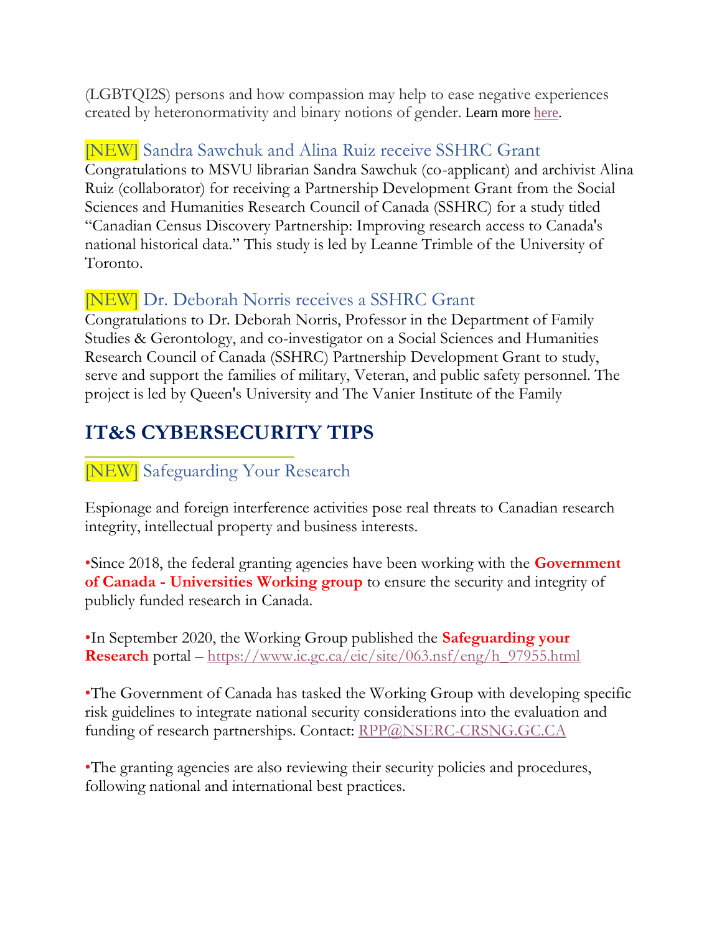(LGBTQI2S) persons and how compassion may help to ease negative experiences created by heteronormativity and binary notions of gender. Learn more [here.](https://msvu.ca/msvu-faculty-receive-new-funding-from-the-social-sciences-and-humanities-research-council-2/)

### [NEW] Sandra Sawchuk and Alina Ruiz receive SSHRC Grant

Congratulations to MSVU librarian Sandra Sawchuk (co-applicant) and archivist Alina Ruiz (collaborator) for receiving a Partnership Development Grant from the Social Sciences and Humanities Research Council of Canada (SSHRC) for a study titled "Canadian Census Discovery Partnership: Improving research access to Canada's national historical data." This study is led by Leanne Trimble of the [University](https://www.facebook.com/universitytoronto/?__cft__%5B0%5D=AZU6rXN1q6VxmlPPcHSNMLPRnlcqvgvugoT7YzYy75nVo3bg7l2Z0f5ry-s8b3GjD_f-MFQfhqFEnwPVQucXWqo2TcU_Gc-d9g7WEkNmIlGy_sEIZ7LN1qx41IBOSJOvZunZaeSh8Bdcssj3gVfelDQR6Ya4GGHpGyM_Sko6NESagXzBbaeB1XaGRInMzV-4_JE&__tn__=kK-R) of [Toronto.](https://www.facebook.com/universitytoronto/?__cft__%5B0%5D=AZU6rXN1q6VxmlPPcHSNMLPRnlcqvgvugoT7YzYy75nVo3bg7l2Z0f5ry-s8b3GjD_f-MFQfhqFEnwPVQucXWqo2TcU_Gc-d9g7WEkNmIlGy_sEIZ7LN1qx41IBOSJOvZunZaeSh8Bdcssj3gVfelDQR6Ya4GGHpGyM_Sko6NESagXzBbaeB1XaGRInMzV-4_JE&__tn__=kK-R)

# [NEW] Dr. Deborah Norris receives a SSHRC Grant

Congratulations to Dr. Deborah Norris, Professor in the Department of Family Studies & Gerontology, and co-investigator on a Social Sciences and Humanities Research Council of Canada (SSHRC) Partnership Development Grant to study, serve and support the families of military, Veteran, and public safety personnel. The project is led by Queen's University and The Vanier Institute of the Family

# **IT&S CYBERSECURITY TIPS**

# [NEW] Safeguarding Your Research

Espionage and foreign interference activities pose real threats to Canadian research integrity, intellectual property and business interests.

•Since 2018, the federal granting agencies have been working with the **Government of Canada - Universities Working group** to ensure the security and integrity of publicly funded research in Canada.

•In September 2020, the Working Group published the **Safeguarding your Research** portal – [https://www.ic.gc.ca/eic/site/063.nsf/eng/h\\_97955.html](https://www.ic.gc.ca/eic/site/063.nsf/eng/h_97955.html)

•The Government of Canada has tasked the Working Group with developing specific risk guidelines to integrate national security considerations into the evaluation and funding of research partnerships. Contact: [RPP@NSERC-CRSNG.GC.CA](mailto:RPP@NSERC-CRSNG.GC.CA)

•The granting agencies are also reviewing their security policies and procedures, following national and international best practices.